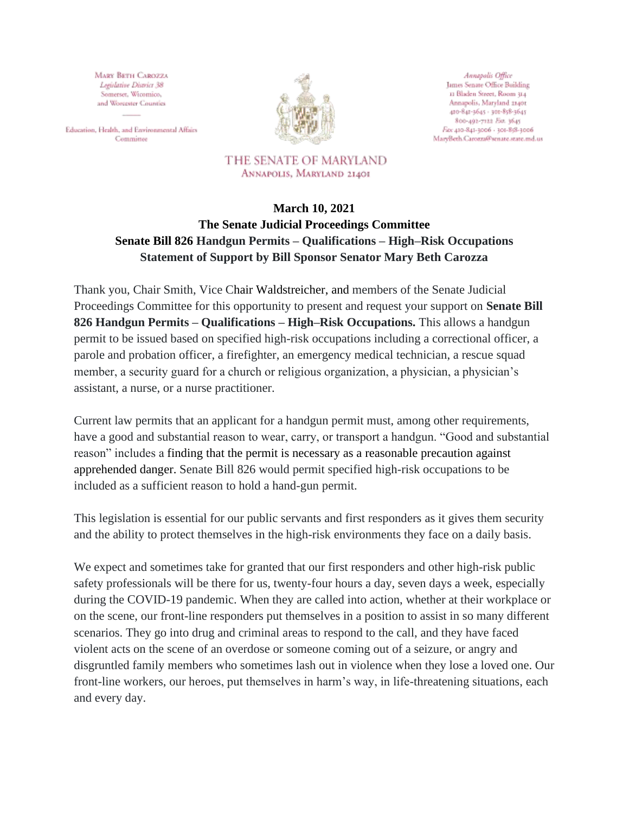MARY BETH CAROZZA Legislative District 38 Somerset, Wicomico, and Worcester Counties

Education, Health, and Environmental Affairs Committee



Annapolis Office James Senate Office Building 11 Bladen Street, Room 314 Annapolis, Maryland 21401 410-841-1645 - 301-858-3645 800-492-7122 Ext. 3645 Fitx 410-841-3006 - 301-858-3006 MaryBeth.Carozza@senate.state.md.us

THE SENATE OF MARYLAND ANNAPOLIS, MARYLAND 21401

## **March 10, 2021 The Senate Judicial Proceedings Committee Senate Bill 826 Handgun Permits – Qualifications – High–Risk Occupations Statement of Support by Bill Sponsor Senator Mary Beth Carozza**

Thank you, Chair Smith, Vice Chair [Waldstreicher,](http://mgaleg.maryland.gov/mgawebsite/Members/Details/waldstreicher1) and members of the Senate Judicial Proceedings Committee for this opportunity to present and request your support on **Senate Bill 826 Handgun Permits – Qualifications – High–Risk Occupations.** This allows a handgun permit to be issued based on specified high-risk occupations including a correctional officer, a parole and probation officer, a firefighter, an emergency medical technician, a rescue squad member, a security guard for a church or religious organization, a physician, a physician's assistant, a nurse, or a nurse practitioner.

Current law permits that an applicant for a handgun permit must, among other requirements, have a good and substantial reason to wear, carry, or transport a handgun. "Good and substantial reason" includes a finding that the permit is necessary as a reasonable precaution against apprehended danger. Senate Bill 826 would permit specified high-risk occupations to be included as a sufficient reason to hold a hand-gun permit.

This legislation is essential for our public servants and first responders as it gives them security and the ability to protect themselves in the high-risk environments they face on a daily basis.

We expect and sometimes take for granted that our first responders and other high-risk public safety professionals will be there for us, twenty-four hours a day, seven days a week, especially during the COVID-19 pandemic. When they are called into action, whether at their workplace or on the scene, our front-line responders put themselves in a position to assist in so many different scenarios. They go into drug and criminal areas to respond to the call, and they have faced violent acts on the scene of an overdose or someone coming out of a seizure, or angry and disgruntled family members who sometimes lash out in violence when they lose a loved one. Our front-line workers, our heroes, put themselves in harm's way, in life-threatening situations, each and every day.